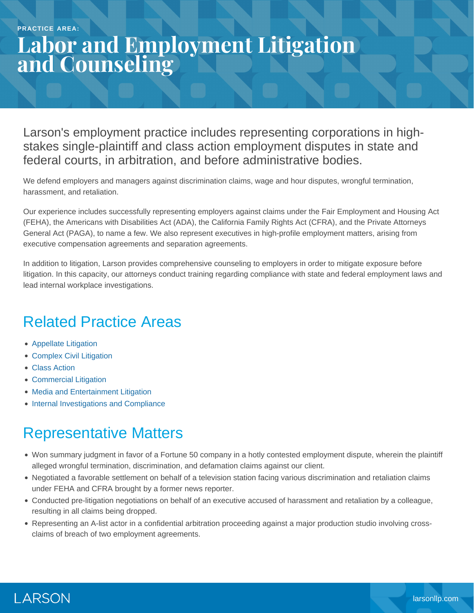# **Labor and Employment Litigation and Counseling**

Larson's employment practice includes representing corporations in highstakes single-plaintiff and class action employment disputes in state and federal courts, in arbitration, and before administrative bodies.

We defend employers and managers against discrimination claims, wage and hour disputes, wrongful termination, harassment, and retaliation.

Our experience includes successfully representing employers against claims under the Fair Employment and Housing Act (FEHA), the Americans with Disabilities Act (ADA), the California Family Rights Act (CFRA), and the Private Attorneys General Act (PAGA), to name a few. We also represent executives in high-profile employment matters, arising from executive compensation agreements and separation agreements.

In addition to litigation, Larson provides comprehensive counseling to employers in order to mitigate exposure before litigation. In this capacity, our attorneys conduct training regarding compliance with state and federal employment laws and lead internal workplace investigations.

### Related Practice Areas

- [Appellate Litigation](https://www.larsonllp.com/practice-areas/appellate-litigation/)
- [Complex Civil Litigation](https://www.larsonllp.com/practice-areas/complex-civil-litigation/)
- [Class Action](https://www.larsonllp.com/practice-areas/complex-civil-litigation/class-action/)
- [Commercial Litigation](https://www.larsonllp.com/practice-areas/complex-civil-litigation/commercial-litigation/)
- [Media and Entertainment Litigation](https://www.larsonllp.com/practice-areas/complex-civil-litigation/media-and-entertainment-litigation/)
- [Internal Investigations and Compliance](https://www.larsonllp.com/practice-areas/internal-investigations-and-compliance/)

### Representative Matters

- Won summary judgment in favor of a Fortune 50 company in a hotly contested employment dispute, wherein the plaintiff alleged wrongful termination, discrimination, and defamation claims against our client.
- Negotiated a favorable settlement on behalf of a television station facing various discrimination and retaliation claims under FEHA and CFRA brought by a former news reporter.
- Conducted pre-litigation negotiations on behalf of an executive accused of harassment and retaliation by a colleague, resulting in all claims being dropped.
- Representing an A-list actor in a confidential arbitration proceeding against a major production studio involving crossclaims of breach of two employment agreements.